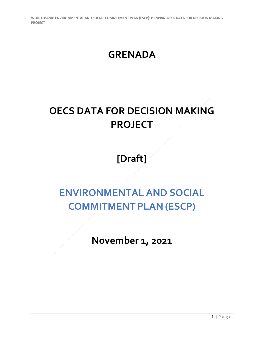### **GRENADA**

# **OECS DATA FOR DECISION MAKING PROJECT**

## **[Draft]**

## **ENVIRONMENTAL AND SOCIAL COMMITMENT PLAN (ESCP)**

**November 1, 2021**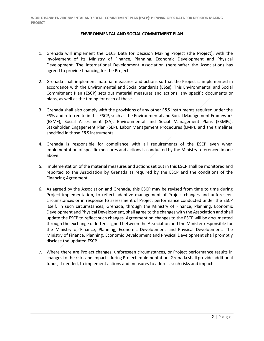#### **ENVIRONMENTAL AND SOCIAL COMMITMENT PLAN**

- 1. Grenada will implement the OECS Data for Decision Making Project (the **Project**), with the involvement of its Ministry of Finance, Planning, Economic Development and Physical Development. The International Development Association (hereinafter the Association) has agreed to provide financing for the Project.
- 2. Grenada shall implement material measures and actions so that the Project is implemented in accordance with the Environmental and Social Standards (**ESSs**). This Environmental and Social Commitment Plan (**ESCP**) sets out material measures and actions, any specific documents or plans, as well as the timing for each of these.
- 3. Grenada shall also comply with the provisions of any other E&S instruments required under the ESSs and referred to in this ESCP, such as the Environmental and Social Management Framework (ESMF), Social Assessment (SA), Environmental and Social Management Plans (ESMPs), Stakeholder Engagement Plan (SEP), Labor Management Procedures (LMP), and the timelines specified in those E&S instruments.
- 4. Grenada is responsible for compliance with all requirements of the ESCP even when implementation of specific measures and actions is conducted by the Ministry referenced in one above.
- 5. Implementation of the material measures and actions set out in this ESCP shall be monitored and reported to the Association by Grenada as required by the ESCP and the conditions of the Financing Agreement.
- 6. As agreed by the Association and Grenada, this ESCP may be revised from time to time during Project implementation, to reflect adaptive management of Project changes and unforeseen circumstances or in response to assessment of Project performance conducted under the ESCP itself. In such circumstances, Grenada, through the Ministry of Finance, Planning, Economic Development and Physical Development, shall agree to the changes with the Association and shall update the ESCP to reflect such changes. Agreement on changes to the ESCP will be documented through the exchange of letters signed between the Association and the Minister responsible for the Ministry of Finance, Planning, Economic Development and Physical Development. The Ministry of Finance, Planning, Economic Development and Physical Development shall promptly disclose the updated ESCP.
- 7. Where there are Project changes, unforeseen circumstances, or Project performance results in changes to the risks and impacts during Project implementation, Grenada shall provide additional funds, if needed, to implement actions and measures to address such risks and impacts.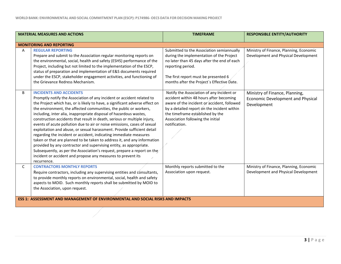| <b>MATERIAL MEASURES AND ACTIONS</b>                                                  |                                                                                                                                                                                                                                                                                                                                                                                                                                                                                                                                                                                                                                                                                                                                                                                                                                                                                                                                                         | <b>TIMEFRAME</b>                                                                                                                                                                                                                                                             | <b>RESPONSIBLE ENTITY/AUTHORITY</b>                                                       |
|---------------------------------------------------------------------------------------|---------------------------------------------------------------------------------------------------------------------------------------------------------------------------------------------------------------------------------------------------------------------------------------------------------------------------------------------------------------------------------------------------------------------------------------------------------------------------------------------------------------------------------------------------------------------------------------------------------------------------------------------------------------------------------------------------------------------------------------------------------------------------------------------------------------------------------------------------------------------------------------------------------------------------------------------------------|------------------------------------------------------------------------------------------------------------------------------------------------------------------------------------------------------------------------------------------------------------------------------|-------------------------------------------------------------------------------------------|
|                                                                                       | <b>MONITORING AND REPORTING</b>                                                                                                                                                                                                                                                                                                                                                                                                                                                                                                                                                                                                                                                                                                                                                                                                                                                                                                                         |                                                                                                                                                                                                                                                                              |                                                                                           |
| A                                                                                     | <b>REGULAR REPORTING</b><br>Prepare and submit to the Association regular monitoring reports on<br>the environmental, social, health and safety (ESHS) performance of the<br>Project, including but not limited to the implementation of the ESCP,<br>status of preparation and implementation of E&S documents required<br>under the ESCP, stakeholder engagement activities, and functioning of<br>the Grievance Redress Mechanism.                                                                                                                                                                                                                                                                                                                                                                                                                                                                                                                   | Submitted to the Association semiannually<br>during the implementation of the Project<br>no later than 45 days after the end of each<br>reporting period.<br>The first report must be presented 6<br>months after the Project's Effective Date.                              | Ministry of Finance, Planning, Economic<br>Development and Physical Development           |
| B                                                                                     | <b>INCIDENTS AND ACCIDENTS</b><br>Promptly notify the Association of any incident or accident related to<br>the Project which has, or is likely to have, a significant adverse effect on<br>the environment, the affected communities, the public or workers,<br>including, inter alia, inappropriate disposal of hazardous wastes,<br>construction accidents that result in death, serious or multiple injury,<br>events of acute pollution due to air or noise emissions, cases of sexual<br>exploitation and abuse, or sexual harassment. Provide sufficient detail<br>regarding the incident or accident, indicating immediate measures<br>taken or that are planned to be taken to address it, and any information<br>provided by any contractor and supervising entity, as appropriate.<br>Subsequently, as per the Association's request, prepare a report on the<br>incident or accident and propose any measures to prevent its<br>recurrence. | Notify the Association of any incident or<br>accident within 48 hours after becoming<br>aware of the incident or accident, followed<br>by a detailed report on the incident within<br>the timeframe established by the<br>Association following the initial<br>notification. | Ministry of Finance, Planning,<br><b>Economic Development and Physical</b><br>Development |
| $\mathsf{C}$                                                                          | <b>CONTRACTORS MONTHLY REPORTS</b><br>Require contractors, including any supervising entities and consultants,<br>to provide monthly reports on environmental, social, health and safety<br>aspects to MOID. Such monthly reports shall be submitted by MOID to<br>the Association, upon request.                                                                                                                                                                                                                                                                                                                                                                                                                                                                                                                                                                                                                                                       | Monthly reports submitted to the<br>Association upon request.                                                                                                                                                                                                                | Ministry of Finance, Planning, Economic<br>Development and Physical Development           |
| <b>ESS 1: ASSESSMENT AND MANAGEMENT OF ENVIRONMENTAL AND SOCIAL RISKS AND IMPACTS</b> |                                                                                                                                                                                                                                                                                                                                                                                                                                                                                                                                                                                                                                                                                                                                                                                                                                                                                                                                                         |                                                                                                                                                                                                                                                                              |                                                                                           |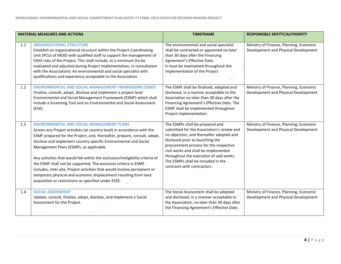| <b>MATERIAL MEASURES AND ACTIONS</b> |                                                                                                                                                                                                                                                                                                                                                                                                                                                                                                                                                                                                                                                                                    | <b>TIMEFRAME</b>                                                                                                                                                                                                                                                                                                                                                | <b>RESPONSIBLE ENTITY/AUTHORITY</b>                                             |
|--------------------------------------|------------------------------------------------------------------------------------------------------------------------------------------------------------------------------------------------------------------------------------------------------------------------------------------------------------------------------------------------------------------------------------------------------------------------------------------------------------------------------------------------------------------------------------------------------------------------------------------------------------------------------------------------------------------------------------|-----------------------------------------------------------------------------------------------------------------------------------------------------------------------------------------------------------------------------------------------------------------------------------------------------------------------------------------------------------------|---------------------------------------------------------------------------------|
| 1.1                                  | <b>ORGANIZATIONAL STRUCTURE</b><br>Establish an organizational structure within the Project Coordinating<br>Unit (PCU) of MOID with qualified staff to support the management of<br>ESHS risks of the Project. This shall include, at a minimum (to be<br>evaluated and adjusted during Project implementation, in consultation<br>with the Association): An environmental and social specialist with<br>qualifications and experience acceptable to the Association.                                                                                                                                                                                                              | The environmental and social specialist<br>shall be contracted or appointed no later<br>than 30 days after the Financing<br>Agreement's Effective Date.<br>It must be maintained throughout the<br>implementation of the Project                                                                                                                                | Ministry of Finance, Planning, Economic<br>Development and Physical Development |
| 1.2                                  | <b>ENVIRONMENTAL AND SOCIAL MANAGEMENT FRAMEWORK (ESMF)</b><br>Finalize, consult, adopt, disclose and implement a project level<br>Environmental and Social Management Framework (ESMF) which shall<br>include a Screening Tool and an Environmental and Social Assessment<br>(ESA).                                                                                                                                                                                                                                                                                                                                                                                               | The ESMF shall be finalized, adopted and<br>disclosed, in a manner acceptable to the<br>Association no later than 30 days after the<br>Financing Agreement's Effective Date. The<br>ESMF shall be implemented throughout<br>Project implementation.                                                                                                             | Ministry of Finance, Planning, Economic<br>Development and Physical Development |
| 1.3                                  | <b>ENVIRONMENTAL AND SOCIAL MANAGEMENT PLANS</b><br>Screen any Project activities (at country level) in accordance with the<br>ESMF prepared for the Project, and, thereafter, prepare, consult, adopt,<br>disclose and implement country-specific Environmental and Social<br>Management Plans (ESMP), as applicable.<br>Any activities that would fall within the exclusion/ineligibility criteria of<br>the ESMF shall not be supported. The exclusion criteria in ESMF<br>includes, inter alia, Project activities that would involve permanent or<br>temporary physical and economic displacement resulting from land<br>acquisition or restrictions as specified under ESS5. | The ESMPs shall be prepared and<br>submitted for the Association's review and<br>no objection, and thereafter adopted and<br>disclosed prior to launching the<br>procurement process for the respective<br>civil works and shall be implemented<br>throughout the execution of said works.<br>The ESMPs shall be included in the<br>contracts with contractors. | Ministry of Finance, Planning, Economic<br>Development and Physical Development |
| 1.4                                  | <b>SOCIAL ASSESSMENT</b><br>Update, consult, finalize, adopt, disclose, and implement a Social<br>Assessment for the Project.                                                                                                                                                                                                                                                                                                                                                                                                                                                                                                                                                      | The Social Assessment shall be adopted<br>and disclosed, in a manner acceptable to<br>the Association, no later than 30 days after<br>the Financing Agreement's Effective Date.                                                                                                                                                                                 | Ministry of Finance, Planning, Economic<br>Development and Physical Development |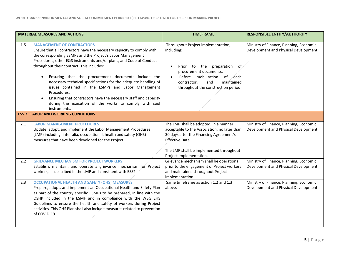| <b>MATERIAL MEASURES AND ACTIONS</b> |                                                                                                                                                                                                                                                                                                                                                                                                                                                                                                                                                                                                                                                                   | <b>TIMEFRAME</b>                                                                                                                                                                                                                        | <b>RESPONSIBLE ENTITY/AUTHORITY</b>                                             |
|--------------------------------------|-------------------------------------------------------------------------------------------------------------------------------------------------------------------------------------------------------------------------------------------------------------------------------------------------------------------------------------------------------------------------------------------------------------------------------------------------------------------------------------------------------------------------------------------------------------------------------------------------------------------------------------------------------------------|-----------------------------------------------------------------------------------------------------------------------------------------------------------------------------------------------------------------------------------------|---------------------------------------------------------------------------------|
| 1.5                                  | <b>MANAGEMENT OF CONTRACTORS</b><br>Ensure that all contractors have the necessary capacity to comply with<br>the corresponding ESMPs and the Project's Labor Management<br>Procedures, other E&S instruments and/or plans, and Code of Conduct<br>throughout their contract. This includes:<br>Ensuring that the procurement documents include the<br>$\bullet$<br>necessary technical specifications for the adequate handling of<br>issues contained in the ESMPs and Labor Management<br>Procedures.<br>Ensuring that contractors have the necessary staff and capacity<br>$\bullet$<br>during the execution of the works to comply with said<br>instruments. | Throughout Project implementation,<br>including:<br>Prior to the preparation<br>of.<br>procurement documents.<br>Before mobilization<br>of each<br>$\bullet$<br>maintained<br>contractor,<br>and<br>throughout the construction period. | Ministry of Finance, Planning, Economic<br>Development and Physical Development |
|                                      | <b>ESS 2: LABOR AND WORKING CONDITIONS</b>                                                                                                                                                                                                                                                                                                                                                                                                                                                                                                                                                                                                                        |                                                                                                                                                                                                                                         |                                                                                 |
| 2.1                                  | <b>LABOR MANAGEMENT PROCEDURES</b><br>Update, adopt, and implement the Labor Management Procedures<br>(LMP) including, inter alia, occupational, health and safety (OHS)<br>measures that have been developed for the Project.                                                                                                                                                                                                                                                                                                                                                                                                                                    | The LMP shall be adopted, in a manner<br>acceptable to the Association, no later than<br>30 days after the Financing Agreement's<br>Effective Date.                                                                                     | Ministry of Finance, Planning, Economic<br>Development and Physical Development |
|                                      |                                                                                                                                                                                                                                                                                                                                                                                                                                                                                                                                                                                                                                                                   | The LMP shall be implemented throughout<br>Project implementation.                                                                                                                                                                      |                                                                                 |
| 2.2                                  | <b>GRIEVANCE MECHANISM FOR PROJECT WORKERS</b><br>Establish, maintain, and operate a grievance mechanism for Project<br>workers, as described in the LMP and consistent with ESS2.                                                                                                                                                                                                                                                                                                                                                                                                                                                                                | Grievance mechanism shall be operational<br>prior to the engagement of Project workers<br>and maintained throughout Project<br>implementation.                                                                                          | Ministry of Finance, Planning, Economic<br>Development and Physical Development |
| 2.3                                  | <b>OCCUPATIONAL HEALTH AND SAFETY (OHS) MEASURES</b><br>Prepare, adopt, and implement an Occupational Health and Safety Plan<br>as part of the country specific ESMPs to be prepared, in line with the<br>OSHP included in the ESMF and in compliance with the WBG EHS<br>Guidelines to ensure the health and safety of workers during Project<br>activities. This OHS Plan shall also include measures related to prevention<br>of COVID-19.                                                                                                                                                                                                                     | Same timeframe as action 1.2 and 1.3<br>above.                                                                                                                                                                                          | Ministry of Finance, Planning, Economic<br>Development and Physical Development |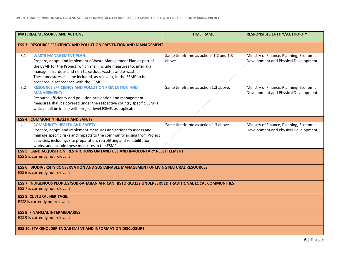|                                                                                                                                         | <b>MATERIAL MEASURES AND ACTIONS</b>                                                                                                                                                                                                                                                                                                               | <b>TIMEFRAME</b>                                | <b>RESPONSIBLE ENTITY/AUTHORITY</b>                                             |
|-----------------------------------------------------------------------------------------------------------------------------------------|----------------------------------------------------------------------------------------------------------------------------------------------------------------------------------------------------------------------------------------------------------------------------------------------------------------------------------------------------|-------------------------------------------------|---------------------------------------------------------------------------------|
|                                                                                                                                         | <b>ESS 3: RESOURCE EFFICIENCY AND POLLUTION PREVENTION AND MANAGEMENT</b>                                                                                                                                                                                                                                                                          |                                                 |                                                                                 |
| 3.1                                                                                                                                     | <b>WASTE MANAGEMENT PLAN:</b><br>Prepare, adopt, and implement a Waste Management Plan as part of<br>the ESMF for the Project, which shall include measures to, inter alia,<br>manage hazardous and non-hazardous wastes and e-wastes<br>These measures shall be included, as relevant, in the ESMP to be<br>prepared in accordance with the ESMF. | Same timeframe as actions 1.2 and 1.3<br>above. | Ministry of Finance, Planning, Economic<br>Development and Physical Development |
| 3.2                                                                                                                                     | <b>RESOURCE EFFICIENCY AND POLLUTION PREVENTION AND</b><br><b>MANAGEMENT:</b><br>Resource efficiency and pollution prevention and management<br>measures shall be covered under the respective country specific ESMPs<br>which shall be in line with project level ESMF, as applicable.                                                            | Same timeframe as action 1.3 above.             | Ministry of Finance, Planning, Economic<br>Development and Physical Development |
|                                                                                                                                         | <b>ESS 4: COMMUNITY HEALTH AND SAFETY</b>                                                                                                                                                                                                                                                                                                          |                                                 |                                                                                 |
| 4.1                                                                                                                                     | <b>COMMUNITY HEALTH AND SAFETY:</b><br>Prepare, adopt, and implement measures and actions to assess and<br>manage specific risks and impacts to the community arising from Project<br>activities, including, site preparation, retrofitting and rehabilitation<br>works, and include these measures in the ESMPs.                                  | Same timeframe as action 1.3 above.             | Ministry of Finance, Planning, Economic<br>Development and Physical Development |
| ESS 5: LAND ACQUISITION, RESTRICTIONS ON LAND USE AND INVOLUNTARY RESETTLEMENT<br>ESS 5 is currently not relevant                       |                                                                                                                                                                                                                                                                                                                                                    |                                                 |                                                                                 |
| ESS 6: BIODIVERSITY CONSERVATION AND SUSTAINABLE MANAGEMENT OF LIVING NATURAL RESOURCES<br>ESS 6 is currently not relevant              |                                                                                                                                                                                                                                                                                                                                                    |                                                 |                                                                                 |
| ESS 7: INDIGENOUS PEOPLES/SUB-SAHARAN AFRICAN HISTORICALLY UNDERSERVED TRADITIONAL LOCAL COMMUNITIES<br>ESS 7 is currently not relevant |                                                                                                                                                                                                                                                                                                                                                    |                                                 |                                                                                 |
| <b>ESS 8: CULTURAL HERITAGE:</b><br>ESS8 is currently not relevant.                                                                     |                                                                                                                                                                                                                                                                                                                                                    |                                                 |                                                                                 |
| <b>ESS 9: FINANCIAL INTERMEDIARIES</b><br>ESS 9 is currently not relevant                                                               |                                                                                                                                                                                                                                                                                                                                                    |                                                 |                                                                                 |
| <b>ESS 10: STAKEHOLDER ENGAGEMENT AND INFORMATION DISCLOSURE</b>                                                                        |                                                                                                                                                                                                                                                                                                                                                    |                                                 |                                                                                 |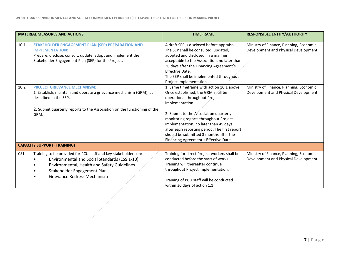| <b>MATERIAL MEASURES AND ACTIONS</b> |                                                                                                                                                                                                                                           | <b>TIMEFRAME</b>                                                                                                                                                                                                                                                                                                                                                                                     | <b>RESPONSIBLE ENTITY/AUTHORITY</b>                                             |
|--------------------------------------|-------------------------------------------------------------------------------------------------------------------------------------------------------------------------------------------------------------------------------------------|------------------------------------------------------------------------------------------------------------------------------------------------------------------------------------------------------------------------------------------------------------------------------------------------------------------------------------------------------------------------------------------------------|---------------------------------------------------------------------------------|
| 10.1                                 | STAKEHOLDER ENGAGEMENT PLAN (SEP) PREPARATION AND<br><b>IMPLEMENTATION:</b><br>Prepare, disclose, consult, update, adopt and implement the<br>Stakeholder Engagement Plan (SEP) for the Project.                                          | A draft SEP is disclosed before appraisal.<br>The SEP shall be consulted, updated,<br>adopted and disclosed, in a manner<br>acceptable to the Association, no later than<br>30 days after the Financing Agreement's<br>Effective Date.<br>The SEP shall be implemented throughout<br>Project implementation.                                                                                         | Ministry of Finance, Planning, Economic<br>Development and Physical Development |
| 10.2                                 | <b>PROJECT GRIEVANCE MECHANISM:</b><br>1. Establish, maintain and operate a grievance mechanism (GRM), as<br>described in the SEP.<br>2. Submit quarterly reports to the Association on the functioning of the<br>GRM.                    | 1. Same timeframe with action 10.1 above.<br>Once established, the GRM shall be<br>operational throughout Project<br>implementation.<br>2. Submit to the Association quarterly<br>monitoring reports throughout Project<br>implementation, no later than 45 days<br>after each reporting period. The first report<br>should be submitted 3 months after the<br>Financing Agreement's Effective Date. | Ministry of Finance, Planning, Economic<br>Development and Physical Development |
|                                      | <b>CAPACITY SUPPORT (TRAINING)</b>                                                                                                                                                                                                        |                                                                                                                                                                                                                                                                                                                                                                                                      |                                                                                 |
| CS <sub>1</sub>                      | Training to be provided for PCU staff and key stakeholders on:<br>Environmental and Social Standards (ESS 1-10)<br>$\bullet$<br>Environmental, Health and Safety Guidelines<br>Stakeholder Engagement Plan<br>Grievance Redress Mechanism | Training for direct Project workers shall be<br>conducted before the start of works.<br>Training will thereafter continue<br>throughout Project implementation.<br>Training of PCU staff will be conducted<br>within 30 days of action 1.1                                                                                                                                                           | Ministry of Finance, Planning, Economic<br>Development and Physical Development |
|                                      |                                                                                                                                                                                                                                           |                                                                                                                                                                                                                                                                                                                                                                                                      |                                                                                 |